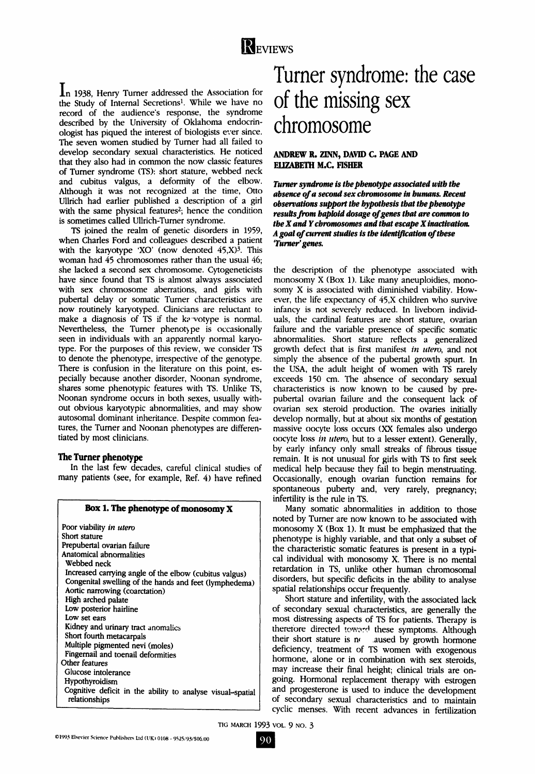

In 1938, Henry Turner addressed the Association for the Study of Internal Secretions<sup>1</sup>. While we have no record of the audience's response, the syndrome described by the University of Oklahoma endocrinologist has piqued the interest of biologists ever since. The seven women studied by Turner had all failed to develop secondary sexual characteristics. He noticed that they also had in common the now classic features of Turner syndrome (TS): short stature, webbed neck and cubitus valgus, a deformity of the elbow. Although it was not recognized at the time, Otto Ullrich had earlier published a description of a girl with the same physical features<sup>2</sup>; hence the condition is sometimes called Ullrich-Tumer syndrome.

TS joined the realm of genetic disorders in 1959, when Charles Ford and colleagues described a patient with the karyotype 'XO' (now denoted  $45, X$ )<sup>3</sup>. This woman had 45 chromosomes rather than the usual 46; she lacked a second sex chromosome. Cytogeneticists have since found that TS is almost always associated with sex chromosome aberrations, and girls with pubertal delay or somatic Turner characteristics are now routinely karyotyped. Clinicians are reluctant to make a diagnosis of TS if the ka votype is normal. Nevertheless, the Turner phenotype is occasionally seen in individuals with an apparently normal karyotype. For the purposes of this review, we consider 'IS to denote the phenotype, irrespective of the genotype. There is confusion in the literature on this point, especially because another disorder, Noonan syndrome, shares some phenotypic features with TS. Unlike TS, Noonan syndrome occurs in both sexes, usually without obvious karyotypic abnormalities, and may show autosomal dominant inheritance. Despite common features, the Turner and Noonan phenotypes are differentiated by most clinicians.

## **The Turner phenotype**

In the last few decades, careful clinical studies of many patients (see, for example, Ref. 4) have refined

| Box 1. The phenotype of monosomy X                                          |  |  |
|-----------------------------------------------------------------------------|--|--|
| Poor viability in utero                                                     |  |  |
| Short stature                                                               |  |  |
| Prepubertal ovarian failure                                                 |  |  |
| Anatomical abnormalities                                                    |  |  |
| Webbed neck                                                                 |  |  |
| Increased carrying angle of the elbow (cubitus valgus)                      |  |  |
| Congenital swelling of the hands and feet (lymphedema)                      |  |  |
| Aortic narrowing (coarctation)                                              |  |  |
| High arched palate                                                          |  |  |
| Low posterior hairline                                                      |  |  |
| Low set ears                                                                |  |  |
| Kidney and urinary tract anomalies                                          |  |  |
| Short fourth metacarpals                                                    |  |  |
| Multiple pigmented nevi (moles)                                             |  |  |
| Fingernail and toenail deformities                                          |  |  |
| Other features                                                              |  |  |
| Glucose intolerance                                                         |  |  |
| Hypothyroidism                                                              |  |  |
| Cognitive deficit in the ability to analyse visual-spatial<br>relationships |  |  |

# **Turner syndrome: the case of the missing sex chromosome**

# **ANDREW R. ZlNN, DAVID C. PAGE AND EliZABETH M.C. FISHER**

*Turner syndrome is the phenotype associated with the absence of a second sex chromosome in humans. Recent observations support the hypothesis that the phenotype results from haploid dosage of genes that are common to the X and Y chromosomes and that escape X inactivatiog A goal of current studies is the identification of these 'Turner' genes.* 

the description of the phenotype associated with monosomy X (Box 1). Like many aneuploidies, monosomy X is associated with diminished viability. However, the life expectancy of 45,X children who survive infancy is not severely reduced. In liveborn individuals, the cardinal features are short stature, ovarian failure and the variable presence of specific somatic abnormalities. Short stature reflects a generalized growth defect that is first manifest *in utero,* and not simply the absence of the pubertal growth spurt. In the USA, the adult height of women with TS rarely exceeds 150 cm. The absence of secondary sexual characteristics is now known to be caused by prepubertal ovarian failure and the consequent lack of ovarian sex steroid production. The ovaries initially develop normally, but at about six months of gestation massive oocyte loss occurs (XX females also undergo oocyte loss in *utero,* but to a lesser extent). Generally, by early infancy only small streaks of fibrous tissue remain. It is not unusual for girls with TS to first seek medical help because they fail to begin menstruating. Occasionally, enough ovarian function remains for spontaneous puberty and, very rarely, pregnancy; infertility is the rule in TS.

Many somatic abnormalities in addition to those noted by Turner are now known to be associated with monosomy X (Box 1). It must be emphasized that the phenotype is highly variable, and that only a subset of the characteristic somatic features is present in a typical individual with monosomy X. There is no mental retardation in TS, unlike other human chromosomal disorders, but specific deficits in the ability to analyse spatial relationships occur frequently.

Short stature and infertility, with the associated lack of secondary sexual characteristics, are generally the most distressing aspects of TS for patients. Therapy is therefore directed toward these symptoms. Although their short stature is  $n_1$  aused by growth hormone deficiency, treatment of TS women with exogenous hormone, alone or in combination with sex steroids, may increase their final height; clinical trials are ongoing. Hormonal replacement therapy with estrogen and progesterone is used to induce the development of secondary sexual characteristics and to maintain cyclic menses. With recent advances in fertilization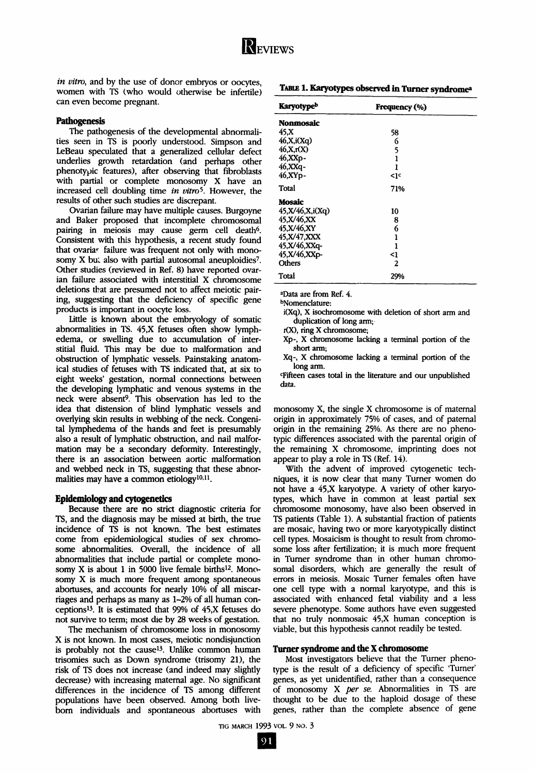*in vitro,* and by the use of donor embryos or oocytes, women with TS (who would otherwise be infertile) can even become pregnant.

## **Pathogenesis**

The pathogenesis of the developmental abnormalities seen in TS is poorly understood. Simpson and LeBeau speculated that a generalized cellular defect underlies growth retardation (and perhaps other phenotypic features), after observing that fibroblasts with partial or complete monosomy X have an increased cell doubling time *in vitro*<sup>5</sup>. However, the results of other such studies are discrepant.

Ovarian failure may have multiple causes. Burgoyne and Baker proposed that incomplete chromosomal pairing in meiosis may cause germ cell death<sup>6</sup>. Consistent with this hypothesis, a recent study found that ovariar failure was frequent not only with monosomy X bu; also with partial autosomal aneuploidies<sup>7</sup>. Other studies (reviewed in Ref. 8) have reported ovarian failure associated with interstitial X chromosome deletions that are presumed not to affect meiotic pairing, suggesting that the deficiency of specific gene products is important in oocyte loss.

Little is known about the embryology of somatic abnormalities in TS. 45,X fetuses often show lymphedema, or swelling due to accumulation of interstitial fluid. This may be due to malformation and obstruction of lymphatic vessels. Painstaking anatomical studies of fetuses with TS indicated that, at six to eight weeks' gestation, normal connections between the developing lymphatic and venous systems in the neck were absent<sup>9</sup>. This observation has led to the idea that distension of blind lymphatic vessels and overlying skin results in webbing of the neck. Congenital lymphedema of the hands and feet is presumably also a result of lymphatic obstruction, and nail malformation may be a secondary deformity. Interestingly, there is an association between aortic malformation and webbed neck in TS, suggesting that these abnormalities may have a common etiology $10,11$ .

## **Epldemiology and cytogenetics**

Because there are no strict diagnostic criteria for TS, and the diagnosis may be missed at birth, the true incidence of TS is not known. The best estimates come from epidemiological studies of sex chromosome abnormalities. Overall, the incidence of all abnormalities that include partial or complete monosomy X is about 1 in 5000 live female births $12$ . Monosomy X is much more frequent among spontaneous abortuses, and accounts for nearly 10% of all miscarriages and perhaps as many as 1-2% of all human conceptions 13. It is estimated that 99% of 45,X fetuses do not survive to term; most die by 28 weeks of gestation.

The mechanism of chromosome loss in monosomy X is not known. In most cases, meiotic nondisjunction is probably not the cause<sup>13</sup>. Unlike common human trisomies such as Down syndrome (trisomy 21), the risk of TS does not increase (and indeed may slightly decrease) with increasing maternal age. No significant differences in the incidence of TS among different populations have been observed. Among both liveborn individuals and spontaneous abortuses with

| TABLE 1. Karyotypes observed in Turner syndrome <sup>a</sup> |  |  |
|--------------------------------------------------------------|--|--|
|--------------------------------------------------------------|--|--|

| <b>Karyotypeb</b>  | Frequency (%)  |  |
|--------------------|----------------|--|
| Nonmosaic          |                |  |
| 45.X               | 58             |  |
| 46, X, i(Xq)       | 6              |  |
| 46, X, r(X)        | 5              |  |
| 46, XXp-           | 1              |  |
| 46,XXq-            | 1              |  |
| 46,XYp-            | $\leq 1c$      |  |
| Total              | 71%            |  |
| Mosaic             |                |  |
| 45, X/46, X, i(Xq) | 10             |  |
| 45.X/46.XX         | 8              |  |
| 45.X/46.XY         | 6              |  |
| 45, X/47, XXX      | 1              |  |
| 45,X/46,XXq-       | 1              |  |
| 45, X/46, XXp-     | <1             |  |
| Others             | $\overline{2}$ |  |
| Total              | 29%            |  |

aData are from Ref. 4.

bNomenclature:

i(Xq), X isochromosome with deletion of short arm and duplication of long arm;

r(X), ring X chromosome;

Xp-, X chromosome lacking a terminal portion of the short arm;

Xq-, X chromosome lacking a terminal portion of the long arm.

cFifteen cases total in the literature and our unpublished data.

monosomy X, the single X chromosome is of maternal origin in approximately 75% of cases, and of paternal origin in the remaining 25%. As there are no phenotypic differences associated with the parental origin of the remaining X chromosome, imprinting does not appear to play a role in TS (Ref. 14).

With the advent of improved cytogenetic techniques, it is now clear that many Turner women do not have a 45,X karyotype. A variety of other karyotypes, which have in common at least partial sex chromosome monosomy, have also been observed in TS patients (Table 1). A substantial fraction of patients are mosaic, having two or more karyotypically distinct cell types. Mosaicism is thought to result from chromosome loss after fertilization; it is much more frequent in Turner syndrome than in other human chromosomal disorders, which are generally the result of errors in meiosis. Mosaic Turner females often have one cell type with a normal karyotype, and this is associated with enhanced fetal viability and a less severe phenotype. Some authors have even suggested that no truly nonmosaic 45,X human conception is viable, but this hypothesis cannot readily be tested.

## **Turner syndrome and the X chromosome**

Most investigators believe that the Turner phenotype is the result of a deficiency of specific 'Turner' genes, as yet unidentified, rather than a consequence of monosomy *X per se.* Abnormalities in TS are thought to be due to the haploid dosage of these genes, rather than the complete absence of gene

Ill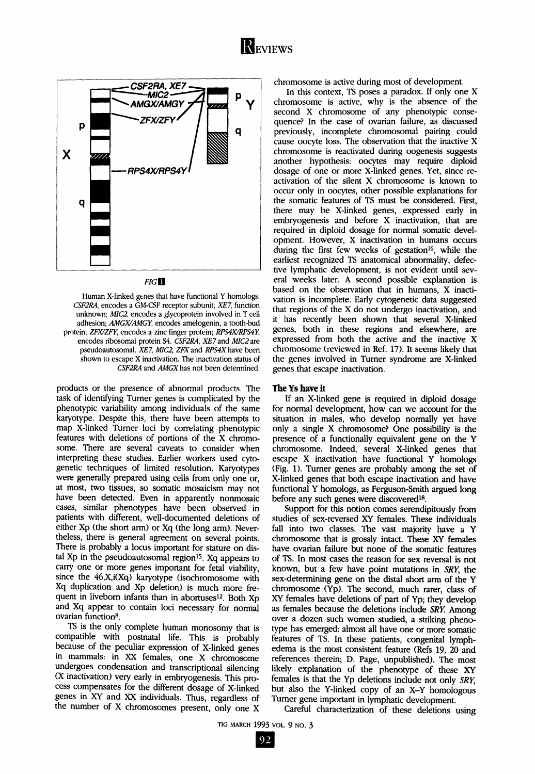

## *FIGil*

Human X-linked genes that have functional Y homologs. *CSF2RA,* encodes a GM-CSF receptor subunit; XE7, function unknown; *MIC2.* encodes a glycoprotein involved in T cell adhesion; *AMGX/AMGY,* encodes amelogenin, a tooth-bud protein; *ZFX/ZFE,* encodes a zinc finger protein; *RPS4X/RPS4Y,*  encodes ribosomal protein \$4. *CSF2RA,* XE7 and *MIC2* are pseudoautosomal. XE7, *MIC2, ZFX* and *RPS4X* have been shown to escape X inactivation. The inactivation status of *CSF2RA* and *AMGX* has not been determined.

products or the presence of abnormal products. The task of identifying Turner genes is complicated by the phenotypic variability among individuals of the same karyotype. Despite this, there have been attempts to map X-linked Turner loci by correlating phenotypic features with deletions of portions of the X chromosome. There are several caveats to consider when interpreting these studies. Earlier workers used cytogenetic techniques of limited resolution. Karyotypes were generally prepared using cells from only one or, at most, two tissues, so somatic mosaicism may not have been detected. Even in apparently nonmosaic cases, similar phenotypes have been observed in patients with different, well-documented deletions of either Xp (the short arm) or Xq (the long arm). Nevertheless, there is general agreement on several points. There is probably a locus important for stature on distal Xp in the pseudoautosomal region<sup>15</sup>. Xq appears to carry one or more genes important for fetal viability, since the 46,X,i(Xq) karyotype (isochromosome with Xq duplication and Xp deletion) is much more frequent in liveborn infants than in abortuses<sup>12</sup>. Both Xp and Xq appear to contain loci necessary for normal ovarian function<sup>8</sup>.

TS is the only complete human monosomy that is compatible with postnatal life. This is probably because of the peculiar expression of X-linked genes in mammals: in XX females, one X chromosome undergoes condensation and transcriptional silencing (X inactivation) very early in embryogenesis. This process compensates for the different dosage of X-linked genes in XY and XX individuals. Thus, regardless of the number of X chromosomes present, only one X chromosome is active during most of development.

In this context, TS poses a paradox. If only one X chromosome is active, why is the absence of the second X chromosome of any phenotypic consequence? In the case of ovarian failure, as discussed previously, incomplete chromosomal pairing could cause oocyte loss. The observation that the inactive X chromosome is reactivated during oogenesis suggests another hypothesis: oocytes may require diploid dosage of one or more X-linked genes. Yet, since reactivation of the silent X chromosome is known to occur only in oocytes, other possible explanations for the somatic features of TS must be considered. First, there may be X-linked genes, expressed early in embryogenesis and before X inactivation, that are required in diploid dosage for normal somatic development. However, X inactivation in humans occurs during the first few weeks of gestation<sup>16</sup>, while the earliest recognized TS anatomical abnormality, defective lymphatic development, is not evident until several weeks later. A second possible explanation is based on the observation that in humans, X inactivation is incomplete. Early cytogenetic data suggested that regions of the X do not undergo inactivation, and it has recently been shown that several X-linked genes, both in these regions and elsewhere, are expressed from both the active and the inactive X chromosome (reviewed in Ref. 17). It seems likely that the genes involved in Turner syndrome are X-linked genes that escape inactivation.

# **The Ys have it**

If an X-linked gene is required in diploid dosage for normal development, how can we account for the situation in males, who develop normally yet have only a single X chromosome? One possibility is the presence of a functionally equivalent gene on the Y chromosome. Indeed, several X-linked genes that escape X inactivation have functional Y homologs (Fig. 1). Turner genes are probably among the set of X-linked genes that both escape inactivation and have functional Y homologs, as Ferguson-Smith argued long before any such genes were discovered<sup>18</sup>.

Support for this notion comes serendipitously from studies of sex-reversed XY females. These individuals fall into two classes. The vast majority have a Y chromosome that is grossly intact. These XY females have ovarian failure but none of the somatic features of TS. In most cases the reason for sex reversal is not known, but a few have point mutations in *SRY,* the sex-determining gene on the distal short arm of the Y chromosome (Yp). The second, much rarer, class of XY females have deletions of part of Yp; they develop as females because the deletions include *SRE* Among over a dozen such women studied, a striking phenotype has emerged: almost all have one or more somatic features of TS. In these patients, congenital lymphedema is the most consistent feature (Refs 19, 20 and references therein; D. Page, unpublished). The most likely explanation of the phenotype of these XY females is that the Yp deletions include not only *SRY,*  but also the Y-linked copy of an X-Y homologous Turner gene important in lymphatic development.

Careful characterization of these deletions using